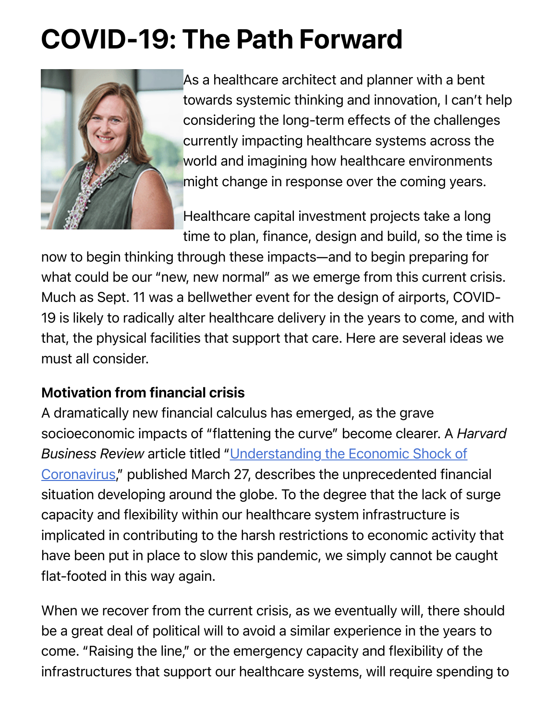# COVID-19: The Path Forward



As a healthcare architect and planner with a bent towards systemic thinking and innovation, I can't help considering the long-term effects of the challenges currently impacting healthcare systems across the world and imagining how healthcare environments might change in response over the coming years.

Healthcare capital investment projects take a long time to plan, finance, design and build, so the time is

now to begin thinking through these impacts—and to begin preparing for what could be our "new, new normal" as we emerge from this current crisis. Much as Sept. 11 was a bellwether event for the design of airports, COVID-19 is likely to radically alter healthcare delivery in the years to come, and with that, the physical facilities that support that care. Here are several ideas we must all consider.

#### Motivation from financial crisis

A dramatically new financial calculus has emerged, as the grave socioeconomic impacts of "flattening the curve" become clearer. A *Harvard Business Review* article titled "Understanding the Economic Shock of Coronavirus," published March 27, describes the unprecedented financial situation developing around the globe. To the degree that the lack of surge capacity and flexibility within our healthcare system infrastructure is implicated in contributing to the harsh restrictions to economic activity that have been put in place to slow this pandemic, we simply cannot be caught flat-footed in this way again.

When we recover from the current crisis, as we eventually will, there should be a great deal of political will to avoid a similar experience in the years to come. "Raising the line," or the emergency capacity and flexibility of the infrastructures that support our healthcare systems, will require spending to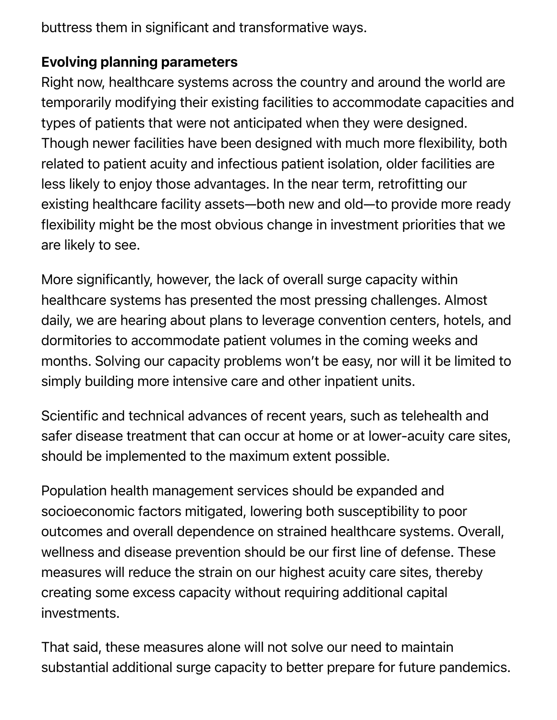buttress them in significant and transformative ways.

#### Evolving planning parameters

Right now, healthcare systems across the country and around the world are temporarily modifying their existing facilities to accommodate capacities and types of patients that were not anticipated when they were designed. Though newer facilities have been designed with much more flexibility, both related to patient acuity and infectious patient isolation, older facilities are less likely to enjoy those advantages. In the near term, retrofitting our existing healthcare facility assets—both new and old—to provide more ready flexibility might be the most obvious change in investment priorities that we are likely to see.

More significantly, however, the lack of overall surge capacity within healthcare systems has presented the most pressing challenges. Almost daily, we are hearing about plans to leverage convention centers, hotels, and dormitories to accommodate patient volumes in the coming weeks and months. Solving our capacity problems won't be easy, nor will it be limited to simply building more intensive care and other inpatient units.

Scientific and technical advances of recent years, such as telehealth and safer disease treatment that can occur at home or at lower-acuity care sites, should be implemented to the maximum extent possible.

Population health management services should be expanded and socioeconomic factors mitigated, lowering both susceptibility to poor outcomes and overall dependence on strained healthcare systems. Overall, wellness and disease prevention should be our first line of defense. These measures will reduce the strain on our highest acuity care sites, thereby creating some excess capacity without requiring additional capital investments.

That said, these measures alone will not solve our need to maintain substantial additional surge capacity to better prepare for future pandemics.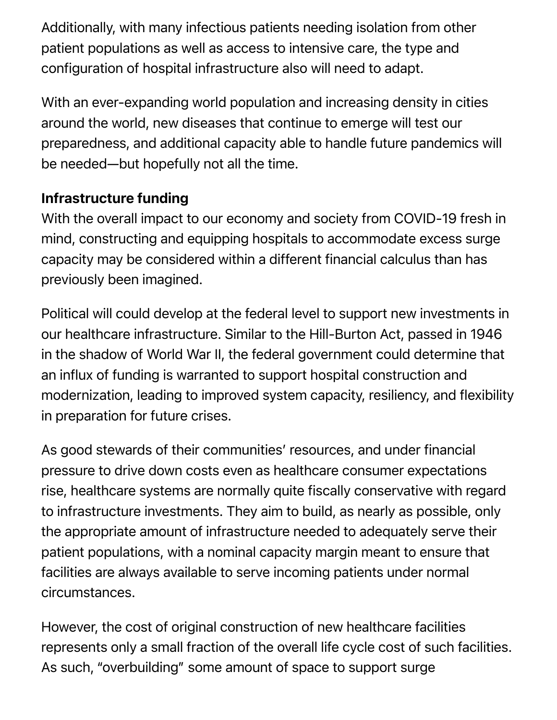Additionally, with many infectious patients needing isolation from other patient populations as well as access to intensive care, the type and configuration of hospital infrastructure also will need to adapt.

With an ever-expanding world population and increasing density in cities around the world, new diseases that continue to emerge will test our preparedness, and additional capacity able to handle future pandemics will be needed—but hopefully not all the time.

#### Infrastructure funding

With the overall impact to our economy and society from COVID-19 fresh in mind, constructing and equipping hospitals to accommodate excess surge capacity may be considered within a different financial calculus than has previously been imagined.

Political will could develop at the federal level to support new investments in our healthcare infrastructure. Similar to the Hill-Burton Act, passed in 1946 in the shadow of World War II, the federal government could determine that an influx of funding is warranted to support hospital construction and modernization, leading to improved system capacity, resiliency, and flexibility in preparation for future crises.

As good stewards of their communities' resources, and under financial pressure to drive down costs even as healthcare consumer expectations rise, healthcare systems are normally quite fiscally conservative with regard to infrastructure investments. They aim to build, as nearly as possible, only the appropriate amount of infrastructure needed to adequately serve their patient populations, with a nominal capacity margin meant to ensure that facilities are always available to serve incoming patients under normal circumstances.

However, the cost of original construction of new healthcare facilities represents only a small fraction of the overall life cycle cost of such facilities. As such, "overbuilding" some amount of space to support surge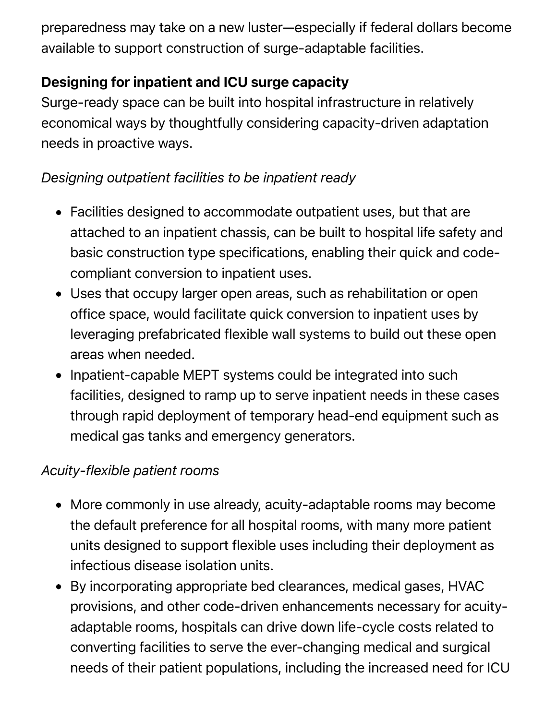preparedness may take on a new luster—especially if federal dollars become available to support construction of surge-adaptable facilities.

## Designing for inpatient and ICU surge capacity

Surge-ready space can be built into hospital infrastructure in relatively economical ways by thoughtfully considering capacity-driven adaptation needs in proactive ways.

## *Designing outpatient facilities to be inpatient ready*

- Facilities designed to accommodate outpatient uses, but that are attached to an inpatient chassis, can be built to hospital life safety and basic construction type specifications, enabling their quick and codecompliant conversion to inpatient uses.
- Uses that occupy larger open areas, such as rehabilitation or open office space, would facilitate quick conversion to inpatient uses by leveraging prefabricated flexible wall systems to build out these open areas when needed.
- Inpatient-capable MEPT systems could be integrated into such facilities, designed to ramp up to serve inpatient needs in these cases through rapid deployment of temporary head-end equipment such as medical gas tanks and emergency generators.

#### *Acuity-flexible patient rooms*

- More commonly in use already, acuity-adaptable rooms may become the default preference for all hospital rooms, with many more patient units designed to support flexible uses including their deployment as infectious disease isolation units.
- By incorporating appropriate bed clearances, medical gases, HVAC provisions, and other code-driven enhancements necessary for acuityadaptable rooms, hospitals can drive down life-cycle costs related to converting facilities to serve the ever-changing medical and surgical needs of their patient populations, including the increased need for ICU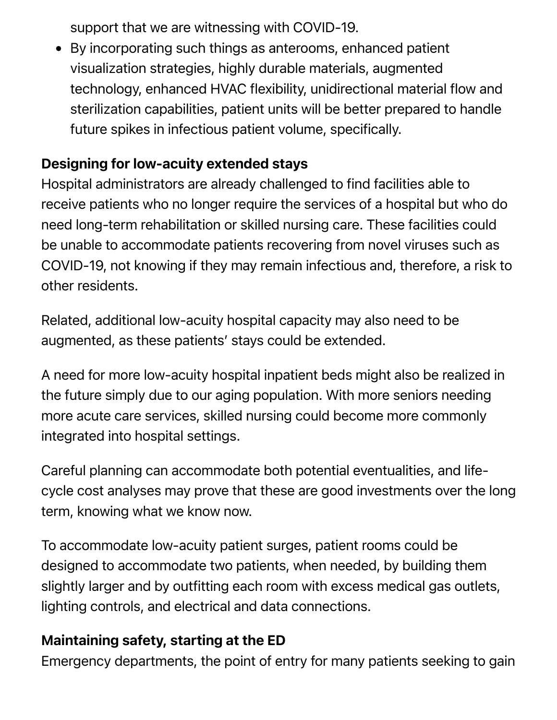support that we are witnessing with COVID-19.

By incorporating such things as anterooms, enhanced patient visualization strategies, highly durable materials, augmented technology, enhanced HVAC flexibility, unidirectional material flow and sterilization capabilities, patient units will be better prepared to handle future spikes in infectious patient volume, specifically.

#### Designing for low-acuity extended stays

Hospital administrators are already challenged to find facilities able to receive patients who no longer require the services of a hospital but who do need long-term rehabilitation or skilled nursing care. These facilities could be unable to accommodate patients recovering from novel viruses such as COVID-19, not knowing if they may remain infectious and, therefore, a risk to other residents.

Related, additional low-acuity hospital capacity may also need to be augmented, as these patients' stays could be extended.

A need for more low-acuity hospital inpatient beds might also be realized in the future simply due to our aging population. With more seniors needing more acute care services, skilled nursing could become more commonly integrated into hospital settings.

Careful planning can accommodate both potential eventualities, and lifecycle cost analyses may prove that these are good investments over the long term, knowing what we know now.

To accommodate low-acuity patient surges, patient rooms could be designed to accommodate two patients, when needed, by building them slightly larger and by outfitting each room with excess medical gas outlets, lighting controls, and electrical and data connections.

#### Maintaining safety, starting at the ED

Emergency departments, the point of entry for many patients seeking to gain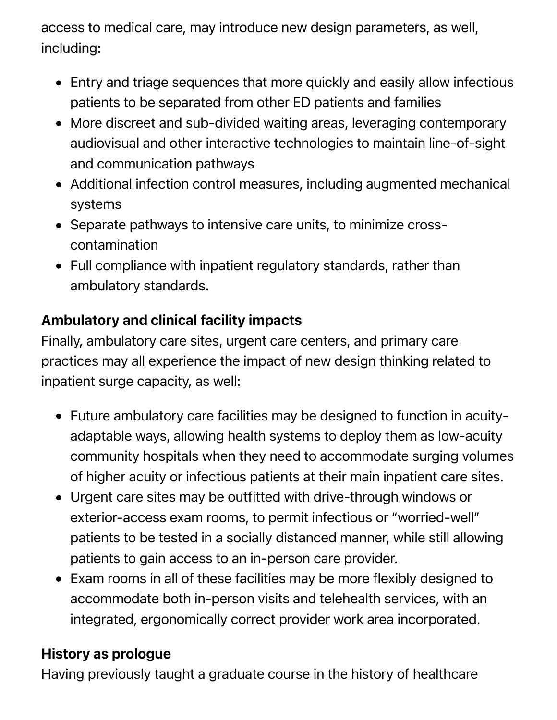access to medical care, may introduce new design parameters, as well, including:

- Entry and triage sequences that more quickly and easily allow infectious patients to be separated from other ED patients and families
- More discreet and sub-divided waiting areas, leveraging contemporary audiovisual and other interactive technologies to maintain line-of-sight and communication pathways
- Additional infection control measures, including augmented mechanical systems
- Separate pathways to intensive care units, to minimize crosscontamination
- Full compliance with inpatient regulatory standards, rather than ambulatory standards.

# Ambulatory and clinical facility impacts

Finally, ambulatory care sites, urgent care centers, and primary care practices may all experience the impact of new design thinking related to inpatient surge capacity, as well:

- Future ambulatory care facilities may be designed to function in acuityadaptable ways, allowing health systems to deploy them as low-acuity community hospitals when they need to accommodate surging volumes of higher acuity or infectious patients at their main inpatient care sites.
- Urgent care sites may be outfitted with drive-through windows or exterior-access exam rooms, to permit infectious or "worried-well" patients to be tested in a socially distanced manner, while still allowing patients to gain access to an in-person care provider.
- Exam rooms in all of these facilities may be more flexibly designed to accommodate both in-person visits and telehealth services, with an integrated, ergonomically correct provider work area incorporated.

#### History as prologue

Having previously taught a graduate course in the history of healthcare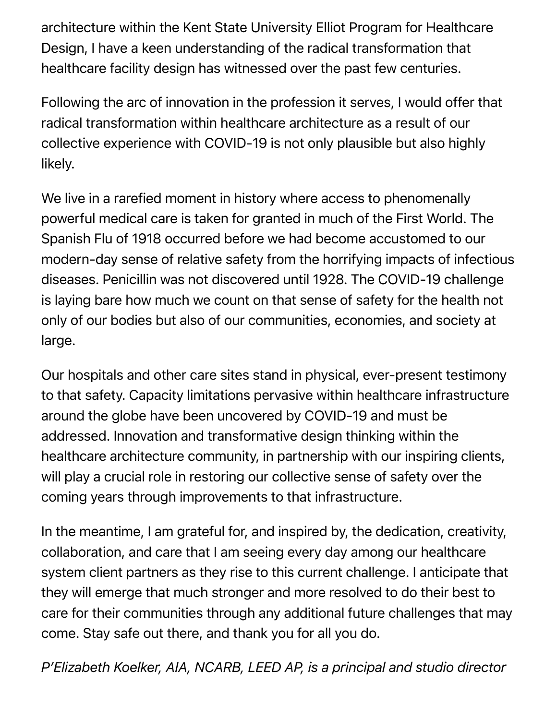architecture within the Kent State University Elliot Program for Healthcare Design, I have a keen understanding of the radical transformation that healthcare facility design has witnessed over the past few centuries.

Following the arc of innovation in the profession it serves, I would offer that radical transformation within healthcare architecture as a result of our collective experience with COVID-19 is not only plausible but also highly likely.

We live in a rarefied moment in history where access to phenomenally powerful medical care is taken for granted in much of the First World. The Spanish Flu of 1918 occurred before we had become accustomed to our modern-day sense of relative safety from the horrifying impacts of infectious diseases. Penicillin was not discovered until 1928. The COVID-19 challenge is laying bare how much we count on that sense of safety for the health not only of our bodies but also of our communities, economies, and society at large.

Our hospitals and other care sites stand in physical, ever-present testimony to that safety. Capacity limitations pervasive within healthcare infrastructure around the globe have been uncovered by COVID-19 and must be addressed. Innovation and transformative design thinking within the healthcare architecture community, in partnership with our inspiring clients, will play a crucial role in restoring our collective sense of safety over the coming years through improvements to that infrastructure.

In the meantime, I am grateful for, and inspired by, the dedication, creativity, collaboration, and care that I am seeing every day among our healthcare system client partners as they rise to this current challenge. I anticipate that they will emerge that much stronger and more resolved to do their best to care for their communities through any additional future challenges that may come. Stay safe out there, and thank you for all you do.

*P'Elizabeth Koelker, AIA, NCARB, LEED AP, is a principal and studio director*